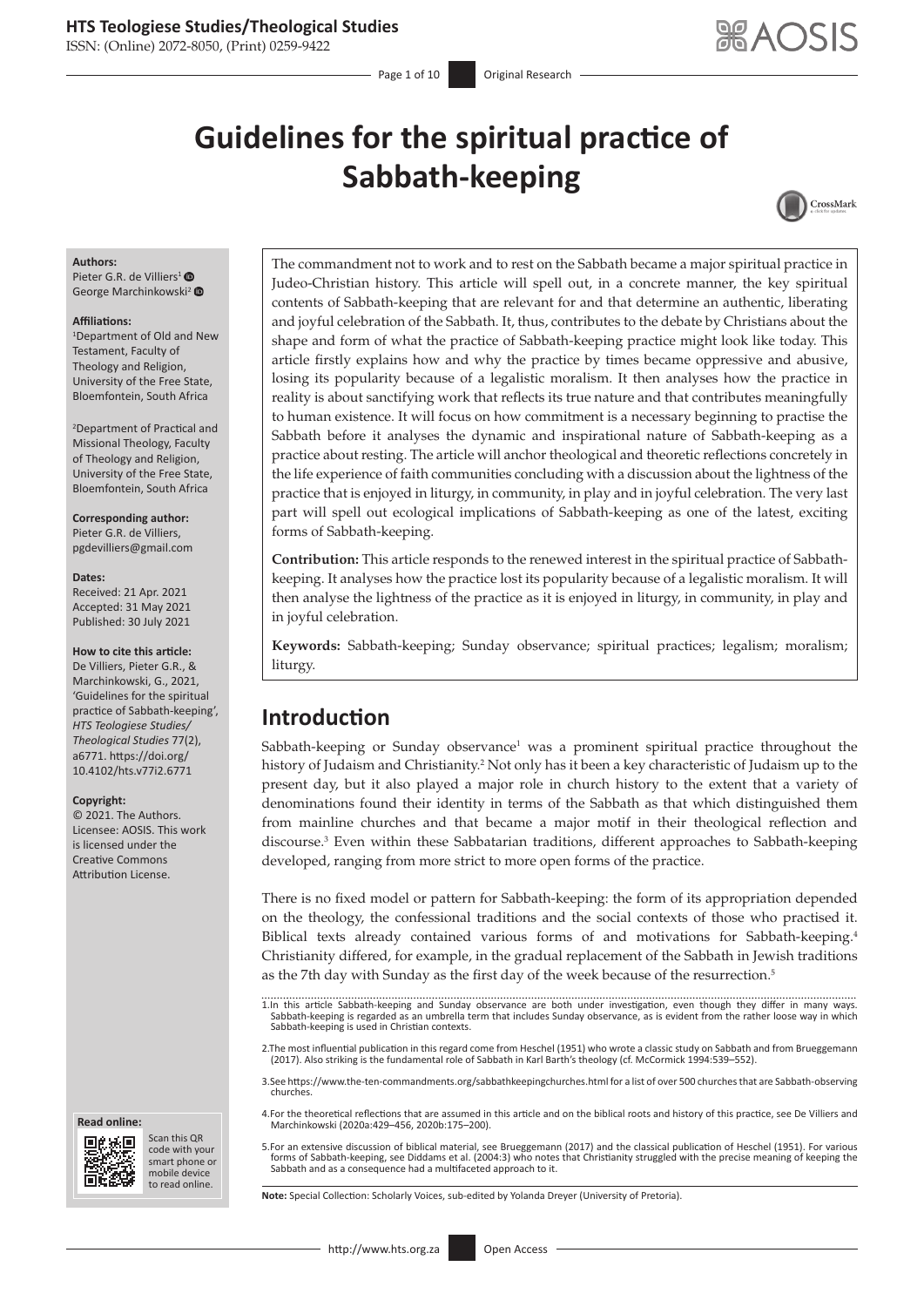ISSN: (Online) 2072-8050, (Print) 0259-9422

Page 1 of 10 **Original Research** 

# **Guidelines for the spiritual practice of Sabbath-keeping**



#### **Authors:**

Pieter G.R. de Villiers<sup>[1](https://orcid.org/0000-0002-7047-299X)</sup> ® George Marchinkowski<sup>[2](https://orcid.org/0000-0002-3145-4342)</sup> <sup>®</sup>

#### **Affiliations:**

1 Department of Old and New Testament, Faculty of Theology and Religion, University of the Free State, Bloemfontein, South Africa

2 Department of Practical and Missional Theology, Faculty of Theology and Religion, University of the Free State, Bloemfontein, South Africa

**Corresponding author:** Pieter G.R. de Villiers, [pgdevilliers@gmail.com](mailto:pgdevilliers@gmail.com)

#### **Dates:**

Received: 21 Apr. 2021 Accepted: 31 May 2021 Published: 30 July 2021

#### **How to cite this article:**

De Villiers, Pieter G.R., & Marchinkowski, G., 2021, 'Guidelines for the spiritual practice of Sabbath-keeping', *HTS Teologiese Studies/ Theological Studies* 77(2), a6771. [https://doi.org/](https://doi.org/​10.4102/hts.v77i2.6771) [10.4102/hts.v77i2.6771](https://doi.org/​10.4102/hts.v77i2.6771)

#### **Copyright:**

© 2021. The Authors. Licensee: AOSIS. This work is licensed under the Creative Commons Attribution License.





Scan this QR code with your Scan this QR<br>code with your<br>smart phone or<br>mobile device mobile device to read online. to read online.

The commandment not to work and to rest on the Sabbath became a major spiritual practice in Judeo-Christian history. This article will spell out, in a concrete manner, the key spiritual contents of Sabbath-keeping that are relevant for and that determine an authentic, liberating and joyful celebration of the Sabbath. It, thus, contributes to the debate by Christians about the shape and form of what the practice of Sabbath-keeping practice might look like today. This article firstly explains how and why the practice by times became oppressive and abusive, losing its popularity because of a legalistic moralism. It then analyses how the practice in reality is about sanctifying work that reflects its true nature and that contributes meaningfully to human existence. It will focus on how commitment is a necessary beginning to practise the Sabbath before it analyses the dynamic and inspirational nature of Sabbath-keeping as a practice about resting. The article will anchor theological and theoretic reflections concretely in the life experience of faith communities concluding with a discussion about the lightness of the practice that is enjoyed in liturgy, in community, in play and in joyful celebration. The very last part will spell out ecological implications of Sabbath-keeping as one of the latest, exciting forms of Sabbath-keeping.

**Contribution:** This article responds to the renewed interest in the spiritual practice of Sabbathkeeping. It analyses how the practice lost its popularity because of a legalistic moralism. It will then analyse the lightness of the practice as it is enjoyed in liturgy, in community, in play and in joyful celebration.

**Keywords:** Sabbath-keeping; Sunday observance; spiritual practices; legalism; moralism; liturgy.

# **Introduction**

Sabbath-keeping or Sunday observance<sup>1</sup> was a prominent spiritual practice throughout the history of Judaism and Christianity.<sup>2</sup> Not only has it been a key characteristic of Judaism up to the present day, but it also played a major role in church history to the extent that a variety of denominations found their identity in terms of the Sabbath as that which distinguished them from mainline churches and that became a major motif in their theological reflection and discourse.<sup>3</sup> Even within these Sabbatarian traditions, different approaches to Sabbath-keeping developed, ranging from more strict to more open forms of the practice.

There is no fixed model or pattern for Sabbath-keeping: the form of its appropriation depended on the theology, the confessional traditions and the social contexts of those who practised it. Biblical texts already contained various forms of and motivations for Sabbath-keeping.4 Christianity differed, for example, in the gradual replacement of the Sabbath in Jewish traditions as the 7th day with Sunday as the first day of the week because of the resurrection.<sup>5</sup>

- 1.In this article Sabbath-keeping and Sunday observance are both under investigation, even though they differ in many ways. Sabbath-keeping is regarded as an umbrella term that includes Sunday observance, as is evident from the rather loose way in which Sabbath-keeping is used in Christian contexts.
- 2.The most influential publication in this regard come from Heschel (1951) who wrote a classic study on Sabbath and from Brueggemann (2017). Also striking is the fundamental role of Sabbath in Karl Barth's theology (cf. McCormick 1994:539–552).
- 3.See<https://www.the-ten-commandments.org/sabbathkeepingchurches.html> for a list of over 500 churches that are Sabbath-observing churches.
- 4.For the theoretical reflections that are assumed in this article and on the biblical roots and history of this practice, see De Villiers and Marchinkowski (2020a:429–456, 2020b:175–200).
- 5.For an extensive discussion of biblical material, see Brueggemann (2017) and the classical publication of Heschel (1951). For various forms of Sabbath-keeping, see Diddams et al. (2004:3) who notes that Christianity struggled with the precise meaning of keeping the Sabbath and as a consequence had a multifaceted approach to it.

**Note:** Special Collection: Scholarly Voices, sub-edited by Yolanda Dreyer (University of Pretoria).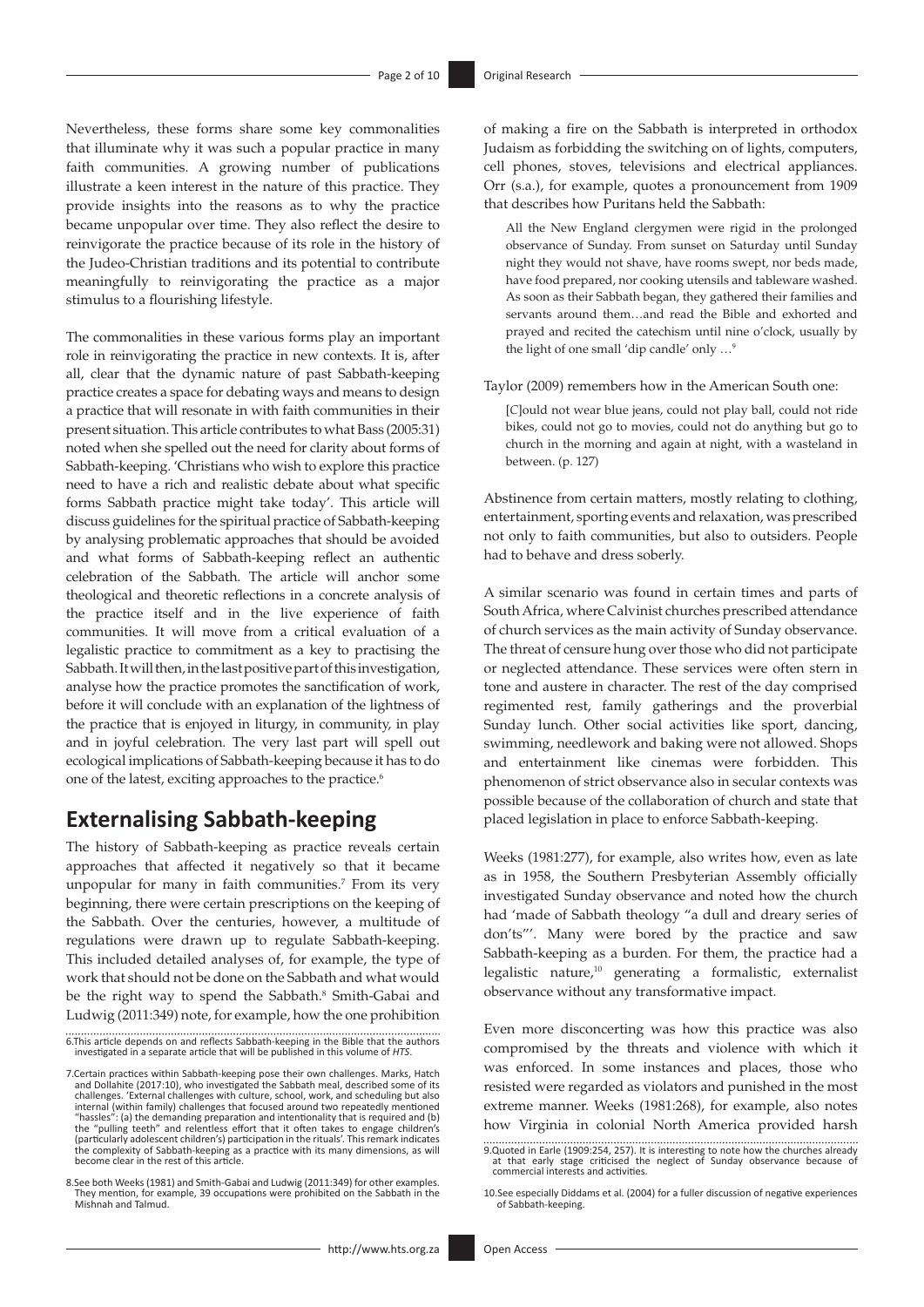Nevertheless, these forms share some key commonalities that illuminate why it was such a popular practice in many faith communities. A growing number of publications illustrate a keen interest in the nature of this practice. They provide insights into the reasons as to why the practice became unpopular over time. They also reflect the desire to reinvigorate the practice because of its role in the history of the Judeo-Christian traditions and its potential to contribute meaningfully to reinvigorating the practice as a major stimulus to a flourishing lifestyle.

The commonalities in these various forms play an important role in reinvigorating the practice in new contexts. It is, after all, clear that the dynamic nature of past Sabbath-keeping practice creates a space for debating ways and means to design a practice that will resonate in with faith communities in their present situation. This article contributes to what Bass (2005:31) noted when she spelled out the need for clarity about forms of Sabbath-keeping. 'Christians who wish to explore this practice need to have a rich and realistic debate about what specific forms Sabbath practice might take today'. This article will discuss guidelines for the spiritual practice of Sabbath-keeping by analysing problematic approaches that should be avoided and what forms of Sabbath-keeping reflect an authentic celebration of the Sabbath. The article will anchor some theological and theoretic reflections in a concrete analysis of the practice itself and in the live experience of faith communities. It will move from a critical evaluation of a legalistic practice to commitment as a key to practising the Sabbath. It will then, in the last positive part of this investigation, analyse how the practice promotes the sanctification of work, before it will conclude with an explanation of the lightness of the practice that is enjoyed in liturgy, in community, in play and in joyful celebration. The very last part will spell out ecological implications of Sabbath-keeping because it has to do one of the latest, exciting approaches to the practice.<sup>6</sup>

### **Externalising Sabbath-keeping**

The history of Sabbath-keeping as practice reveals certain approaches that affected it negatively so that it became unpopular for many in faith communities.7 From its very beginning, there were certain prescriptions on the keeping of the Sabbath. Over the centuries, however, a multitude of regulations were drawn up to regulate Sabbath-keeping. This included detailed analyses of, for example, the type of work that should not be done on the Sabbath and what would be the right way to spend the Sabbath.<sup>8</sup> Smith-Gabai and Ludwig (2011:349) note, for example, how the one prohibition

8.See both Weeks (1981) and Smith-Gabai and Ludwig (2011:349) for other examples. They mention, for example, 39 occupations were prohibited on the Sabbath in the Mishnah and Talmud. of making a fire on the Sabbath is interpreted in orthodox Judaism as forbidding the switching on of lights, computers, cell phones, stoves, televisions and electrical appliances. Orr (s.a.), for example, quotes a pronouncement from 1909 that describes how Puritans held the Sabbath:

All the New England clergymen were rigid in the prolonged observance of Sunday. From sunset on Saturday until Sunday night they would not shave, have rooms swept, nor beds made, have food prepared, nor cooking utensils and tableware washed. As soon as their Sabbath began, they gathered their families and servants around them…and read the Bible and exhorted and prayed and recited the catechism until nine o'clock, usually by the light of one small 'dip candle' only …9

Taylor (2009) remembers how in the American South one:

[*C*]ould not wear blue jeans, could not play ball, could not ride bikes, could not go to movies, could not do anything but go to church in the morning and again at night, with a wasteland in between. (p. 127)

Abstinence from certain matters, mostly relating to clothing, entertainment, sporting events and relaxation, was prescribed not only to faith communities, but also to outsiders. People had to behave and dress soberly.

A similar scenario was found in certain times and parts of South Africa, where Calvinist churches prescribed attendance of church services as the main activity of Sunday observance. The threat of censure hung over those who did not participate or neglected attendance. These services were often stern in tone and austere in character. The rest of the day comprised regimented rest, family gatherings and the proverbial Sunday lunch. Other social activities like sport, dancing, swimming, needlework and baking were not allowed. Shops and entertainment like cinemas were forbidden. This phenomenon of strict observance also in secular contexts was possible because of the collaboration of church and state that placed legislation in place to enforce Sabbath-keeping.

Weeks (1981:277), for example, also writes how, even as late as in 1958, the Southern Presbyterian Assembly officially investigated Sunday observance and noted how the church had 'made of Sabbath theology "a dull and dreary series of don'ts"'. Many were bored by the practice and saw Sabbath-keeping as a burden. For them, the practice had a legalistic nature,10 generating a formalistic, externalist observance without any transformative impact.

Even more disconcerting was how this practice was also compromised by the threats and violence with which it was enforced. In some instances and places, those who resisted were regarded as violators and punished in the most extreme manner. Weeks (1981:268), for example, also notes how Virginia in colonial North America provided harsh

<sup>6.</sup>This article depends on and reflects Sabbath-keeping in the Bible that the authors investigated in a separate article that will be published in this volume of *HTS*.

<sup>7.</sup>Certain practices within Sabbath-keeping pose their own challenges. Marks, Hatch and Dollahite (2017:10), who investigated the Sabbath meal, described some of its challenges. 'External challenges with culture, school, work, and scheduling but also<br>internal (within family) challenges that focused around two repeatedly mentioned<br>"hassles": (a) the demanding preparation and intentional become clear in the rest of this article.

<sup>9.</sup>Quoted in Earle (1909:254, 257). It is interesting to note how the churches already at that early stage criticised the neglect of Sunday observance because of commercial interests and activities.

<sup>10.</sup>See especially Diddams et al. (2004) for a fuller discussion of negative experiences of Sabbath-keeping.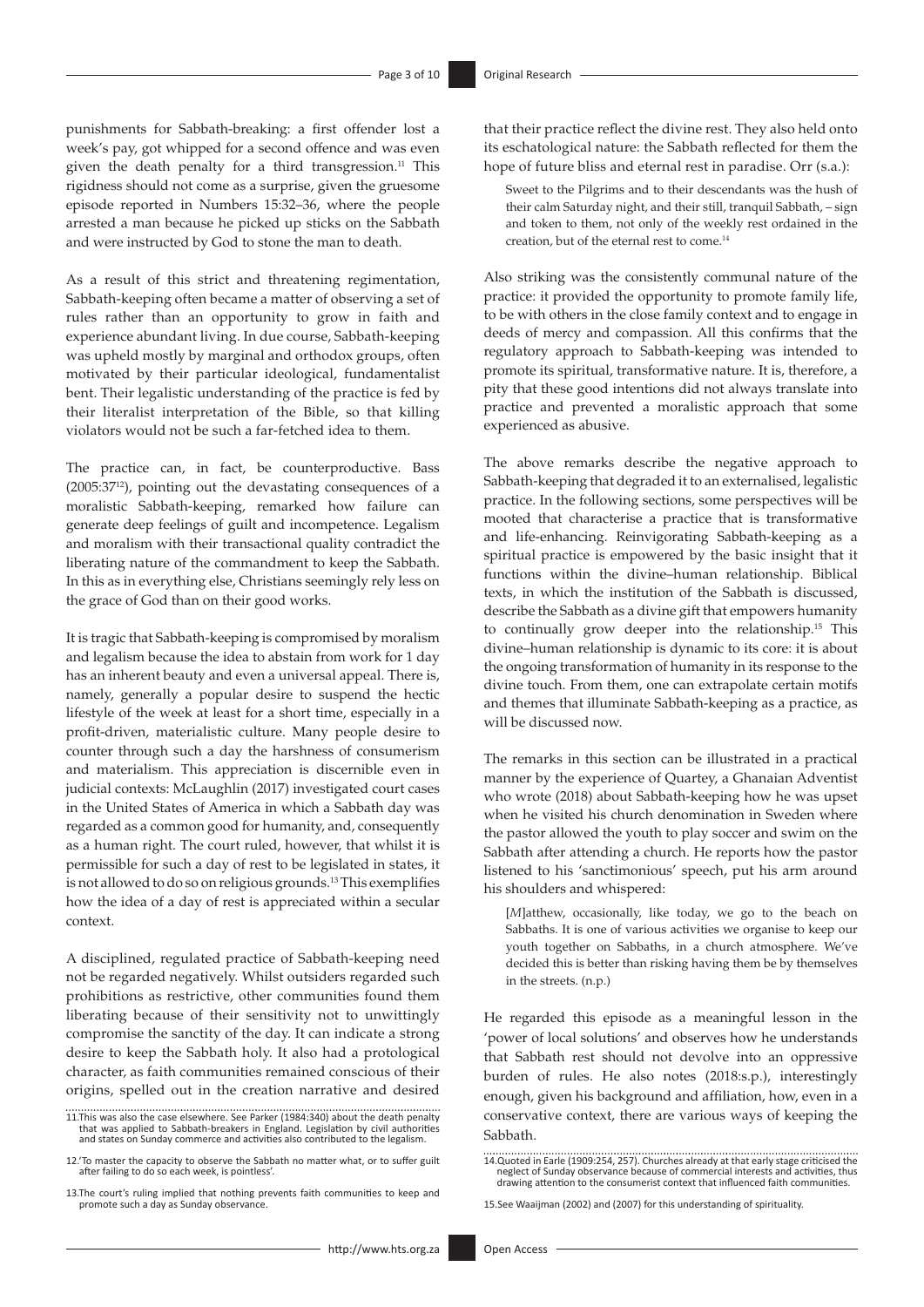punishments for Sabbath-breaking: a first offender lost a week's pay, got whipped for a second offence and was even given the death penalty for a third transgression.<sup>11</sup> This rigidness should not come as a surprise, given the gruesome episode reported in Numbers 15:32–36, where the people arrested a man because he picked up sticks on the Sabbath and were instructed by God to stone the man to death.

As a result of this strict and threatening regimentation, Sabbath-keeping often became a matter of observing a set of rules rather than an opportunity to grow in faith and experience abundant living. In due course, Sabbath-keeping was upheld mostly by marginal and orthodox groups, often motivated by their particular ideological, fundamentalist bent. Their legalistic understanding of the practice is fed by their literalist interpretation of the Bible, so that killing violators would not be such a far-fetched idea to them.

The practice can, in fact, be counterproductive. Bass (2005:3712), pointing out the devastating consequences of a moralistic Sabbath-keeping, remarked how failure can generate deep feelings of guilt and incompetence. Legalism and moralism with their transactional quality contradict the liberating nature of the commandment to keep the Sabbath. In this as in everything else, Christians seemingly rely less on the grace of God than on their good works.

It is tragic that Sabbath-keeping is compromised by moralism and legalism because the idea to abstain from work for 1 day has an inherent beauty and even a universal appeal. There is, namely, generally a popular desire to suspend the hectic lifestyle of the week at least for a short time, especially in a profit-driven, materialistic culture. Many people desire to counter through such a day the harshness of consumerism and materialism. This appreciation is discernible even in judicial contexts: McLaughlin (2017) investigated court cases in the United States of America in which a Sabbath day was regarded as a common good for humanity, and, consequently as a human right. The court ruled, however, that whilst it is permissible for such a day of rest to be legislated in states, it is not allowed to do so on religious grounds.<sup>13</sup> This exemplifies how the idea of a day of rest is appreciated within a secular context.

A disciplined, regulated practice of Sabbath-keeping need not be regarded negatively. Whilst outsiders regarded such prohibitions as restrictive, other communities found them liberating because of their sensitivity not to unwittingly compromise the sanctity of the day. It can indicate a strong desire to keep the Sabbath holy. It also had a protological character, as faith communities remained conscious of their origins, spelled out in the creation narrative and desired

that their practice reflect the divine rest. They also held onto its eschatological nature: the Sabbath reflected for them the hope of future bliss and eternal rest in paradise. Orr (s.a.):

Sweet to the Pilgrims and to their descendants was the hush of their calm Saturday night, and their still, tranquil Sabbath, – sign and token to them, not only of the weekly rest ordained in the creation, but of the eternal rest to come.14

Also striking was the consistently communal nature of the practice: it provided the opportunity to promote family life, to be with others in the close family context and to engage in deeds of mercy and compassion. All this confirms that the regulatory approach to Sabbath-keeping was intended to promote its spiritual, transformative nature. It is, therefore, a pity that these good intentions did not always translate into practice and prevented a moralistic approach that some experienced as abusive.

The above remarks describe the negative approach to Sabbath-keeping that degraded it to an externalised, legalistic practice. In the following sections, some perspectives will be mooted that characterise a practice that is transformative and life-enhancing. Reinvigorating Sabbath-keeping as a spiritual practice is empowered by the basic insight that it functions within the divine–human relationship. Biblical texts, in which the institution of the Sabbath is discussed, describe the Sabbath as a divine gift that empowers humanity to continually grow deeper into the relationship.15 This divine–human relationship is dynamic to its core: it is about the ongoing transformation of humanity in its response to the divine touch. From them, one can extrapolate certain motifs and themes that illuminate Sabbath-keeping as a practice, as will be discussed now.

The remarks in this section can be illustrated in a practical manner by the experience of Quartey, a Ghanaian Adventist who wrote (2018) about Sabbath-keeping how he was upset when he visited his church denomination in Sweden where the pastor allowed the youth to play soccer and swim on the Sabbath after attending a church. He reports how the pastor listened to his 'sanctimonious' speech, put his arm around his shoulders and whispered:

[*M*]atthew, occasionally, like today, we go to the beach on Sabbaths. It is one of various activities we organise to keep our youth together on Sabbaths, in a church atmosphere. We've decided this is better than risking having them be by themselves in the streets. (n.p.)

He regarded this episode as a meaningful lesson in the 'power of local solutions' and observes how he understands that Sabbath rest should not devolve into an oppressive burden of rules. He also notes (2018:s.p.), interestingly enough, given his background and affiliation, how, even in a conservative context, there are various ways of keeping the Sabbath.

<sup>11.</sup>This was also the case elsewhere. See Parker (1984:340) about the death penalty that was applied to Sabbath-breakers in England. Legislation by civil authorities and states on Sunday commerce and activities also contributed to the legalism.

<sup>12.&#</sup>x27;To master the capacity to observe the Sabbath no matter what, or to suffer guilt after failing to do so each week, is pointless'.

<sup>13.</sup>The court's ruling implied that nothing prevents faith communities to keep and promote such a day as Sunday observance.

<sup>14.</sup>Quoted in Earle (1909:254, 257). Churches already at that early stage criticised the neglect of Sunday observance because of commercial interests and activities, thus drawing attention to the consumerist context that influenced faith communities.

<sup>15.</sup>See Waaijman (2002) and (2007) for this understanding of spirituality.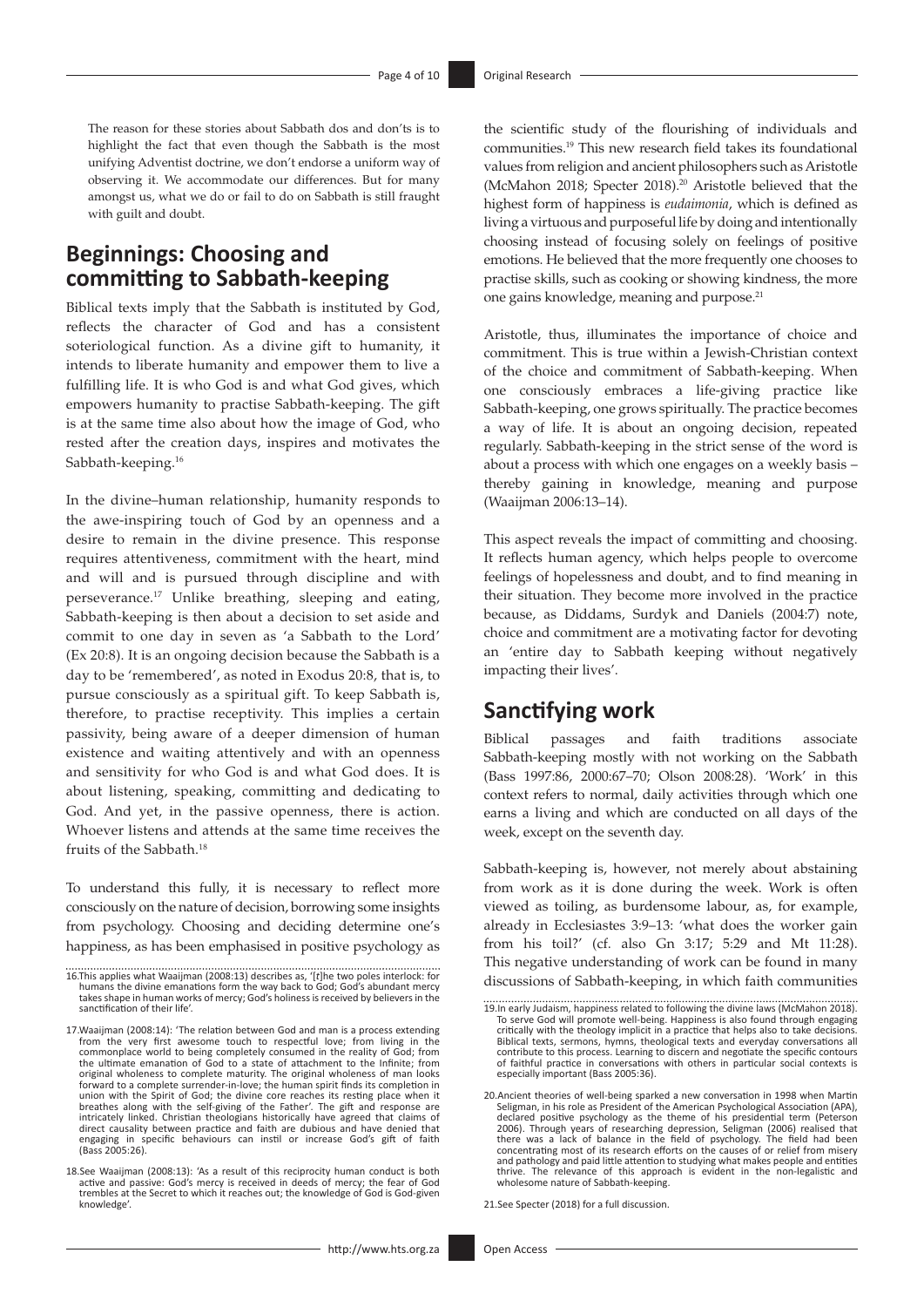The reason for these stories about Sabbath dos and don'ts is to highlight the fact that even though the Sabbath is the most unifying Adventist doctrine, we don't endorse a uniform way of observing it. We accommodate our differences. But for many amongst us, what we do or fail to do on Sabbath is still fraught with guilt and doubt.

# **Beginnings: Choosing and committing to Sabbath-keeping**

Biblical texts imply that the Sabbath is instituted by God, reflects the character of God and has a consistent soteriological function. As a divine gift to humanity, it intends to liberate humanity and empower them to live a fulfilling life. It is who God is and what God gives, which empowers humanity to practise Sabbath-keeping. The gift is at the same time also about how the image of God, who rested after the creation days, inspires and motivates the Sabbath-keeping.<sup>16</sup>

In the divine–human relationship, humanity responds to the awe-inspiring touch of God by an openness and a desire to remain in the divine presence. This response requires attentiveness, commitment with the heart, mind and will and is pursued through discipline and with perseverance.17 Unlike breathing, sleeping and eating, Sabbath-keeping is then about a decision to set aside and commit to one day in seven as 'a Sabbath to the Lord' (Ex 20:8). It is an ongoing decision because the Sabbath is a day to be 'remembered', as noted in Exodus 20:8, that is, to pursue consciously as a spiritual gift. To keep Sabbath is, therefore, to practise receptivity. This implies a certain passivity, being aware of a deeper dimension of human existence and waiting attentively and with an openness and sensitivity for who God is and what God does. It is about listening, speaking, committing and dedicating to God. And yet, in the passive openness, there is action. Whoever listens and attends at the same time receives the fruits of the Sabbath.18

To understand this fully, it is necessary to reflect more consciously on the nature of decision, borrowing some insights from psychology. Choosing and deciding determine one's happiness, as has been emphasised in positive psychology as

18.See Waaijman (2008:13): 'As a result of this reciprocity human conduct is both active and passive: God's mercy is received in deeds of mercy; the fear of God trembles at the Secret to which it reaches out; the knowledge of God is God-given knowledge'.

the scientific study of the flourishing of individuals and communities.19 This new research field takes its foundational values from religion and ancient philosophers such as Aristotle (McMahon 2018; Specter 2018).20 Aristotle believed that the highest form of happiness is *eudaimonia*, which is defined as living a virtuous and purposeful life by doing and intentionally choosing instead of focusing solely on feelings of positive emotions. He believed that the more frequently one chooses to practise skills, such as cooking or showing kindness, the more one gains knowledge, meaning and purpose.<sup>21</sup>

Aristotle, thus, illuminates the importance of choice and commitment. This is true within a Jewish-Christian context of the choice and commitment of Sabbath-keeping. When one consciously embraces a life-giving practice like Sabbath-keeping, one grows spiritually. The practice becomes a way of life. It is about an ongoing decision, repeated regularly. Sabbath-keeping in the strict sense of the word is about a process with which one engages on a weekly basis – thereby gaining in knowledge, meaning and purpose (Waaijman 2006:13–14).

This aspect reveals the impact of committing and choosing. It reflects human agency, which helps people to overcome feelings of hopelessness and doubt, and to find meaning in their situation. They become more involved in the practice because, as Diddams, Surdyk and Daniels (2004:7) note, choice and commitment are a motivating factor for devoting an 'entire day to Sabbath keeping without negatively impacting their lives'.

# **Sanctifying work**

Biblical passages and faith traditions associate Sabbath-keeping mostly with not working on the Sabbath (Bass 1997:86, 2000:67–70; Olson 2008:28). 'Work' in this context refers to normal, daily activities through which one earns a living and which are conducted on all days of the week, except on the seventh day.

Sabbath-keeping is, however, not merely about abstaining from work as it is done during the week. Work is often viewed as toiling, as burdensome labour, as, for example, already in Ecclesiastes 3:9–13: 'what does the worker gain from his toil?' (cf. also Gn 3:17; 5:29 and Mt 11:28). This negative understanding of work can be found in many discussions of Sabbath-keeping, in which faith communities

21.See Specter (2018) for a full discussion.

<sup>16.</sup>This applies what Waaijman (2008:13) describes as, '[*t*]he two poles interlock: for humans the divine emanations form the way back to God; God's abundant mercy takes shape in human works of mercy; God's holiness is received by believers in the sanctification of their life'.

<sup>17.</sup> Waaijman (2008:14): 'The relation between God and man is a process extending from the very first awesome touch to respectful love; from living in the commonplace world to being completely consumed in the reality of God original wholeness to complete maturity. The original wholeness of man looks forward to a complete surrender-in-love; the human spirit finds its completion in union with the Spirit of God; the divine core reaches its resting place when it<br>breathes along with the self-giving of the Father'. The gift and response are<br>intricately linked. Christian theologians historically have agre engaging in specific behaviours can instil or increase God's gift of faith (Bass 2005:26).

<sup>19.</sup>In early Judaism, happiness related to following the divine laws (McMahon 2018). To serve God will promote well-being. Happiness is also found through engaging critically with the theology implicit in a practice that helps also to take decisions. Biblical texts, sermons, hymns, theological texts and everyday conversations all contribute to this process. Learning to discern and negotiate the specific contours of faithful practice in conversations with others in particular social contexts is especially important (Bass 2005:36).

<sup>20.</sup>Ancient theories of well-being sparked a new conversation in 1998 when Martin Seligman, in his role as President of the American Psychological Association (APA), declared positive psychology as the theme of his presidential term (Peterson<br>2006). Through years of researching depression, Seligman (2006) realised that<br>there was a lack of balance in the field of psychology. The field h and pathology and paid little attention to studying what makes people and entities thrive. The relevance of this approach is evident in the non-legalistic and wholesome nature of Sabbath-keeping.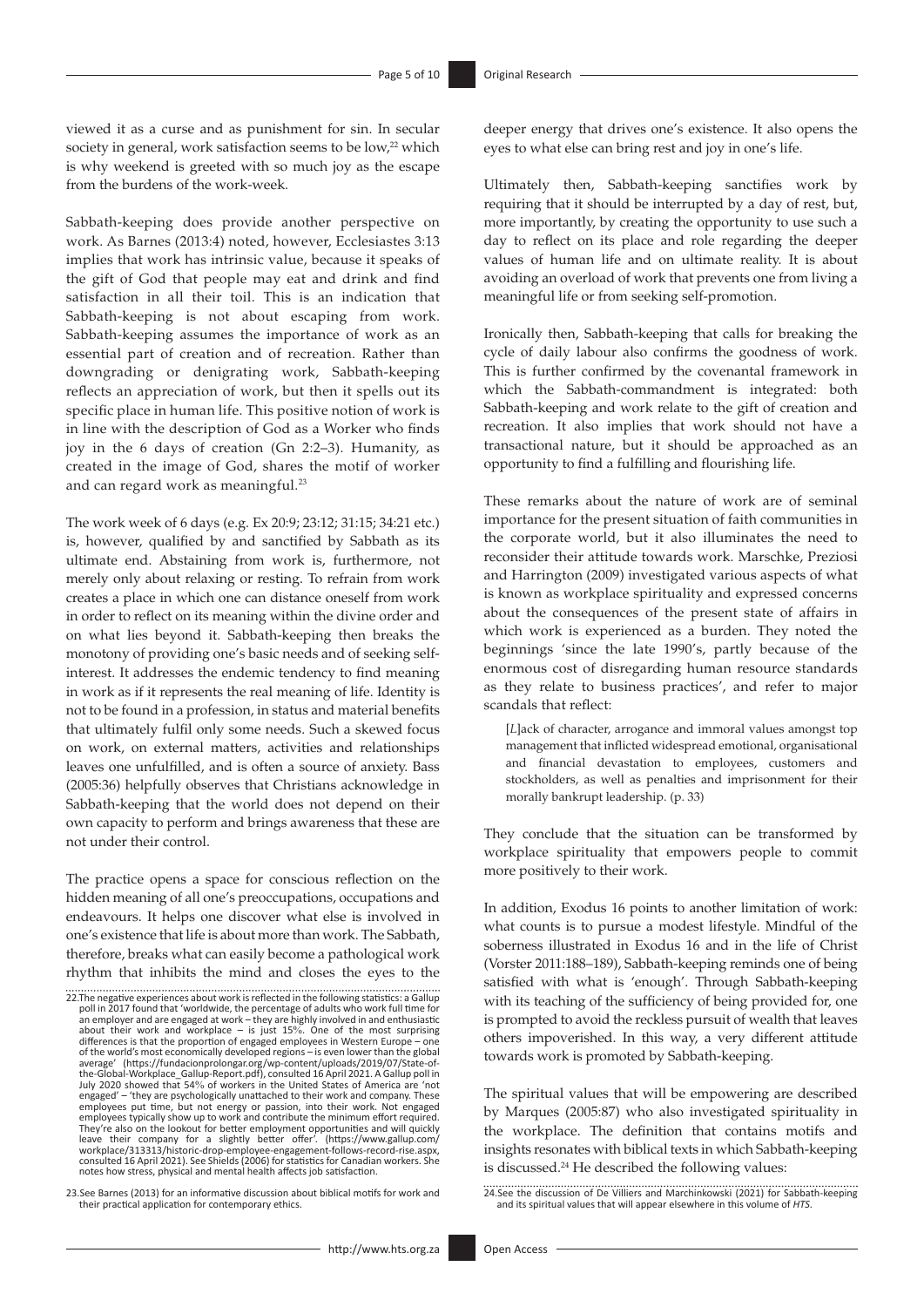viewed it as a curse and as punishment for sin. In secular society in general, work satisfaction seems to be low,<sup>22</sup> which is why weekend is greeted with so much joy as the escape from the burdens of the work-week.

Sabbath-keeping does provide another perspective on work. As Barnes (2013:4) noted, however, Ecclesiastes 3:13 implies that work has intrinsic value, because it speaks of the gift of God that people may eat and drink and find satisfaction in all their toil. This is an indication that Sabbath-keeping is not about escaping from work. Sabbath-keeping assumes the importance of work as an essential part of creation and of recreation. Rather than downgrading or denigrating work, Sabbath-keeping reflects an appreciation of work, but then it spells out its specific place in human life. This positive notion of work is in line with the description of God as a Worker who finds joy in the 6 days of creation (Gn 2:2–3). Humanity, as created in the image of God, shares the motif of worker and can regard work as meaningful.<sup>23</sup>

The work week of 6 days (e.g. Ex 20:9; 23:12; 31:15; 34:21 etc.) is, however, qualified by and sanctified by Sabbath as its ultimate end. Abstaining from work is, furthermore, not merely only about relaxing or resting. To refrain from work creates a place in which one can distance oneself from work in order to reflect on its meaning within the divine order and on what lies beyond it. Sabbath-keeping then breaks the monotony of providing one's basic needs and of seeking selfinterest. It addresses the endemic tendency to find meaning in work as if it represents the real meaning of life. Identity is not to be found in a profession, in status and material benefits that ultimately fulfil only some needs. Such a skewed focus on work, on external matters, activities and relationships leaves one unfulfilled, and is often a source of anxiety. Bass (2005:36) helpfully observes that Christians acknowledge in Sabbath-keeping that the world does not depend on their own capacity to perform and brings awareness that these are not under their control.

The practice opens a space for conscious reflection on the hidden meaning of all one's preoccupations, occupations and endeavours. It helps one discover what else is involved in one's existence that life is about more than work. The Sabbath, therefore, breaks what can easily become a pathological work rhythm that inhibits the mind and closes the eyes to the deeper energy that drives one's existence. It also opens the eyes to what else can bring rest and joy in one's life.

Ultimately then, Sabbath-keeping sanctifies work by requiring that it should be interrupted by a day of rest, but, more importantly, by creating the opportunity to use such a day to reflect on its place and role regarding the deeper values of human life and on ultimate reality. It is about avoiding an overload of work that prevents one from living a meaningful life or from seeking self-promotion.

Ironically then, Sabbath-keeping that calls for breaking the cycle of daily labour also confirms the goodness of work. This is further confirmed by the covenantal framework in which the Sabbath-commandment is integrated: both Sabbath-keeping and work relate to the gift of creation and recreation. It also implies that work should not have a transactional nature, but it should be approached as an opportunity to find a fulfilling and flourishing life.

These remarks about the nature of work are of seminal importance for the present situation of faith communities in the corporate world, but it also illuminates the need to reconsider their attitude towards work. Marschke, Preziosi and Harrington (2009) investigated various aspects of what is known as workplace spirituality and expressed concerns about the consequences of the present state of affairs in which work is experienced as a burden. They noted the beginnings 'since the late 1990's, partly because of the enormous cost of disregarding human resource standards as they relate to business practices', and refer to major scandals that reflect:

[*L*]ack of character, arrogance and immoral values amongst top management that inflicted widespread emotional, organisational and financial devastation to employees, customers and stockholders, as well as penalties and imprisonment for their morally bankrupt leadership. (p. 33)

They conclude that the situation can be transformed by workplace spirituality that empowers people to commit more positively to their work.

In addition, Exodus 16 points to another limitation of work: what counts is to pursue a modest lifestyle. Mindful of the soberness illustrated in Exodus 16 and in the life of Christ (Vorster 2011:188–189), Sabbath-keeping reminds one of being satisfied with what is 'enough'. Through Sabbath-keeping with its teaching of the sufficiency of being provided for, one is prompted to avoid the reckless pursuit of wealth that leaves others impoverished. In this way, a very different attitude towards work is promoted by Sabbath-keeping.

The spiritual values that will be empowering are described by Marques (2005:87) who also investigated spirituality in the workplace. The definition that contains motifs and insights resonates with biblical texts in which Sabbath-keeping is discussed.<sup>24</sup> He described the following values:

<sup>22.</sup>The negative experiences about work is reflected in the following statistics: a Gallup<br>poll in 2017 found that 'worldwide, the percentage of adults who work full time for<br>an employer and are engaged at work – they are h about their work and workplace – is just 15%. One of the most surprising<br>differences is that the proportion of engaged employees in Western Europe – one<br>of the world's most economically developed regions – is even lower th engaged' – 'they are psychologically unattached to their work and company. These<br>employees put time, but not energy or passion, into their work. Not engaged<br>employees typically show up to work and contribute the minimum ef They're also on the lookout for better employment opportunities and will quickly leave their company for a slightly better offer'. ([https://www.gallup.com/](https://www.gallup.com/workplace/313313/historic-drop-employee-engagement-follows-record-rise.aspx) [workplace/313313/historic-drop-employee-engagement-follows-record-rise.aspx,](https://www.gallup.com/workplace/313313/historic-drop-employee-engagement-follows-record-rise.aspx)<br>[consulted 16 April 2021\). See Shields \(2006\) for statistics for Canadian workers. She](https://www.gallup.com/workplace/313313/historic-drop-employee-engagement-follows-record-rise.aspx)<br>notes how stress, physical and mental health affects job sa

<sup>23.</sup>See Barnes (2013) for an informative discussion about biblical motifs for work and their practical application for contemporary ethics.

<sup>24.</sup>See the discussion of De Villiers and Marchinkowski (2021) for Sabbath-keeping and its spiritual values that will appear elsewhere in this volume of *HTS*.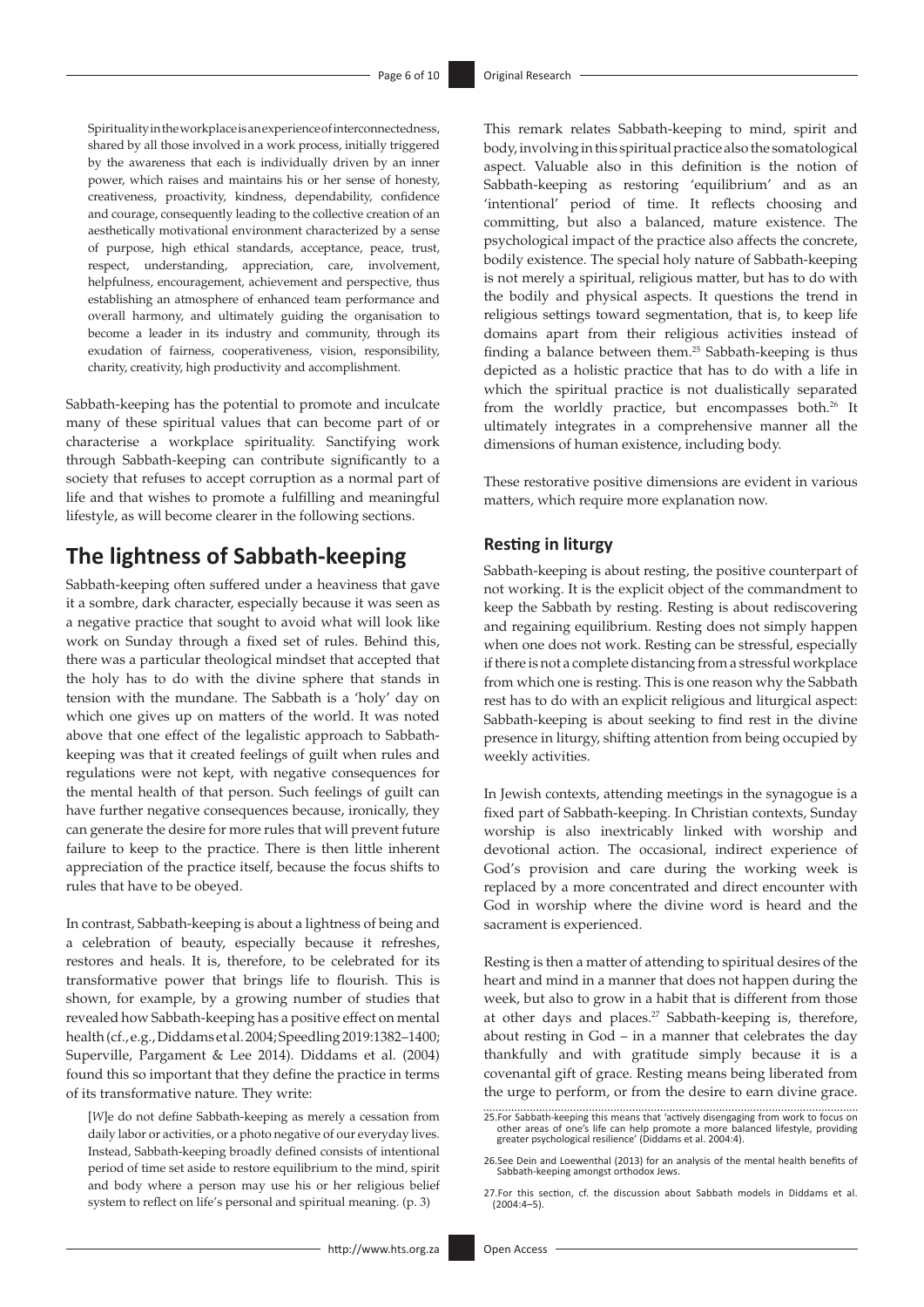Spirituality in the workplace is an experience of interconnectedness, shared by all those involved in a work process, initially triggered by the awareness that each is individually driven by an inner power, which raises and maintains his or her sense of honesty, creativeness, proactivity, kindness, dependability, confidence and courage, consequently leading to the collective creation of an aesthetically motivational environment characterized by a sense of purpose, high ethical standards, acceptance, peace, trust, respect, understanding, appreciation, care, involvement, helpfulness, encouragement, achievement and perspective, thus establishing an atmosphere of enhanced team performance and overall harmony, and ultimately guiding the organisation to become a leader in its industry and community, through its exudation of fairness, cooperativeness, vision, responsibility, charity, creativity, high productivity and accomplishment.

Sabbath-keeping has the potential to promote and inculcate many of these spiritual values that can become part of or characterise a workplace spirituality. Sanctifying work through Sabbath-keeping can contribute significantly to a society that refuses to accept corruption as a normal part of life and that wishes to promote a fulfilling and meaningful lifestyle, as will become clearer in the following sections.

# **The lightness of Sabbath-keeping**

Sabbath-keeping often suffered under a heaviness that gave it a sombre, dark character, especially because it was seen as a negative practice that sought to avoid what will look like work on Sunday through a fixed set of rules. Behind this, there was a particular theological mindset that accepted that the holy has to do with the divine sphere that stands in tension with the mundane. The Sabbath is a 'holy' day on which one gives up on matters of the world. It was noted above that one effect of the legalistic approach to Sabbathkeeping was that it created feelings of guilt when rules and regulations were not kept, with negative consequences for the mental health of that person. Such feelings of guilt can have further negative consequences because, ironically, they can generate the desire for more rules that will prevent future failure to keep to the practice. There is then little inherent appreciation of the practice itself, because the focus shifts to rules that have to be obeyed.

In contrast, Sabbath-keeping is about a lightness of being and a celebration of beauty, especially because it refreshes, restores and heals. It is, therefore, to be celebrated for its transformative power that brings life to flourish. This is shown, for example, by a growing number of studies that revealed how Sabbath-keeping has a positive effect on mental health (cf., e.g., Diddams et al. 2004; Speedling 2019:1382–1400; Superville, Pargament & Lee 2014). Diddams et al. (2004) found this so important that they define the practice in terms of its transformative nature. They write:

[*W*]e do not define Sabbath-keeping as merely a cessation from daily labor or activities, or a photo negative of our everyday lives. Instead, Sabbath-keeping broadly defined consists of intentional period of time set aside to restore equilibrium to the mind, spirit and body where a person may use his or her religious belief system to reflect on life's personal and spiritual meaning. (p. 3)

This remark relates Sabbath-keeping to mind, spirit and body, involving in this spiritual practice also the somatological aspect. Valuable also in this definition is the notion of Sabbath-keeping as restoring 'equilibrium' and as an 'intentional' period of time. It reflects choosing and committing, but also a balanced, mature existence. The psychological impact of the practice also affects the concrete, bodily existence. The special holy nature of Sabbath-keeping is not merely a spiritual, religious matter, but has to do with the bodily and physical aspects. It questions the trend in religious settings toward segmentation, that is, to keep life domains apart from their religious activities instead of finding a balance between them.25 Sabbath-keeping is thus depicted as a holistic practice that has to do with a life in which the spiritual practice is not dualistically separated from the worldly practice, but encompasses both.<sup>26</sup> It ultimately integrates in a comprehensive manner all the dimensions of human existence, including body.

These restorative positive dimensions are evident in various matters, which require more explanation now.

### **Resting in liturgy**

Sabbath-keeping is about resting, the positive counterpart of not working. It is the explicit object of the commandment to keep the Sabbath by resting. Resting is about rediscovering and regaining equilibrium. Resting does not simply happen when one does not work. Resting can be stressful, especially if there is not a complete distancing from a stressful workplace from which one is resting. This is one reason why the Sabbath rest has to do with an explicit religious and liturgical aspect: Sabbath-keeping is about seeking to find rest in the divine presence in liturgy, shifting attention from being occupied by weekly activities.

In Jewish contexts, attending meetings in the synagogue is a fixed part of Sabbath-keeping. In Christian contexts, Sunday worship is also inextricably linked with worship and devotional action. The occasional, indirect experience of God's provision and care during the working week is replaced by a more concentrated and direct encounter with God in worship where the divine word is heard and the sacrament is experienced.

Resting is then a matter of attending to spiritual desires of the heart and mind in a manner that does not happen during the week, but also to grow in a habit that is different from those at other days and places.<sup>27</sup> Sabbath-keeping is, therefore, about resting in God – in a manner that celebrates the day thankfully and with gratitude simply because it is a covenantal gift of grace. Resting means being liberated from the urge to perform, or from the desire to earn divine grace.

<sup>25.</sup>For Sabbath-keeping this means that 'actively disengaging from work to focus on other areas of one's life can help promote a more balanced lifestyle, providing greater psychological resilience' (Diddams et al. 2004:4).

<sup>26.</sup>See Dein and Loewenthal (2013) for an analysis of the mental health benefits of Sabbath-keeping amongst orthodox Jews.

<sup>27.</sup>For this section, cf. the discussion about Sabbath models in Diddams et al.  $(2004.4 - 5)$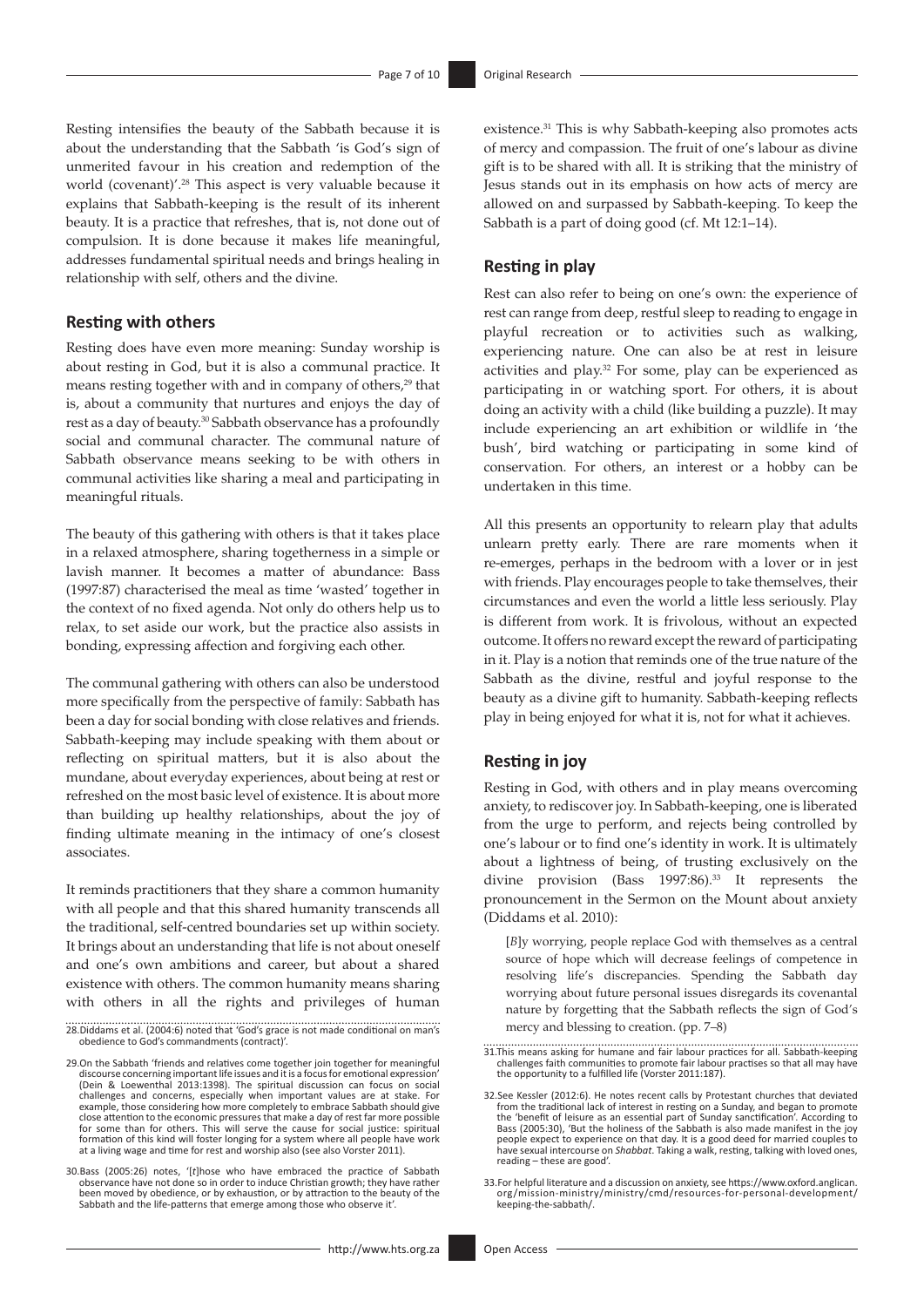Resting intensifies the beauty of the Sabbath because it is about the understanding that the Sabbath 'is God's sign of unmerited favour in his creation and redemption of the world (covenant)'.28 This aspect is very valuable because it explains that Sabbath-keeping is the result of its inherent beauty. It is a practice that refreshes, that is, not done out of compulsion. It is done because it makes life meaningful, addresses fundamental spiritual needs and brings healing in relationship with self, others and the divine.

### **Resting with others**

Resting does have even more meaning: Sunday worship is about resting in God, but it is also a communal practice. It means resting together with and in company of others,<sup>29</sup> that is, about a community that nurtures and enjoys the day of rest as a day of beauty.30 Sabbath observance has a profoundly social and communal character. The communal nature of Sabbath observance means seeking to be with others in communal activities like sharing a meal and participating in meaningful rituals.

The beauty of this gathering with others is that it takes place in a relaxed atmosphere, sharing togetherness in a simple or lavish manner. It becomes a matter of abundance: Bass (1997:87) characterised the meal as time 'wasted' together in the context of no fixed agenda. Not only do others help us to relax, to set aside our work, but the practice also assists in bonding, expressing affection and forgiving each other.

The communal gathering with others can also be understood more specifically from the perspective of family: Sabbath has been a day for social bonding with close relatives and friends. Sabbath-keeping may include speaking with them about or reflecting on spiritual matters, but it is also about the mundane, about everyday experiences, about being at rest or refreshed on the most basic level of existence. It is about more than building up healthy relationships, about the joy of finding ultimate meaning in the intimacy of one's closest associates.

It reminds practitioners that they share a common humanity with all people and that this shared humanity transcends all the traditional, self-centred boundaries set up within society. It brings about an understanding that life is not about oneself and one's own ambitions and career, but about a shared existence with others. The common humanity means sharing with others in all the rights and privileges of human existence.31 This is why Sabbath-keeping also promotes acts of mercy and compassion. The fruit of one's labour as divine gift is to be shared with all. It is striking that the ministry of Jesus stands out in its emphasis on how acts of mercy are allowed on and surpassed by Sabbath-keeping. To keep the Sabbath is a part of doing good (cf. Mt 12:1–14).

### **Resting in play**

Rest can also refer to being on one's own: the experience of rest can range from deep, restful sleep to reading to engage in playful recreation or to activities such as walking, experiencing nature. One can also be at rest in leisure activities and play.32 For some, play can be experienced as participating in or watching sport. For others, it is about doing an activity with a child (like building a puzzle). It may include experiencing an art exhibition or wildlife in 'the bush', bird watching or participating in some kind of conservation. For others, an interest or a hobby can be undertaken in this time.

All this presents an opportunity to relearn play that adults unlearn pretty early. There are rare moments when it re-emerges, perhaps in the bedroom with a lover or in jest with friends. Play encourages people to take themselves, their circumstances and even the world a little less seriously. Play is different from work. It is frivolous, without an expected outcome. It offers no reward except the reward of participating in it. Play is a notion that reminds one of the true nature of the Sabbath as the divine, restful and joyful response to the beauty as a divine gift to humanity. Sabbath-keeping reflects play in being enjoyed for what it is, not for what it achieves.

#### **Resting in joy**

Resting in God, with others and in play means overcoming anxiety, to rediscover joy. In Sabbath-keeping, one is liberated from the urge to perform, and rejects being controlled by one's labour or to find one's identity in work. It is ultimately about a lightness of being, of trusting exclusively on the divine provision (Bass 1997:86).33 It represents the pronouncement in the Sermon on the Mount about anxiety (Diddams et al. 2010):

[*B*]y worrying, people replace God with themselves as a central source of hope which will decrease feelings of competence in resolving life's discrepancies. Spending the Sabbath day worrying about future personal issues disregards its covenantal nature by forgetting that the Sabbath reflects the sign of God's mercy and blessing to creation. (pp. 7–8)

<sup>28.</sup>Diddams et al. (2004:6) noted that 'God's grace is not made conditional on man's obedience to God's commandments (contract)'.

<sup>29.</sup>On the Sabbath 'friends and relatives come together join together for meaningful discourse concerning important life issues and it is a focus for emotional expression' (Dein & Loewenthal 2013:1398). The spiritual discussion can focus on social challenges and concerns, especially when important values are at stake. For example, those considering how more completely to embrace Sabbath should give close attention to the economic pressures that make a day of rest far more possible for some than for others. This will serve the cause for social justice: spiritual formation of this kind will foster longing for a system where all people have work at a living wage and time for rest and worship also (see also Vorster 2011).

<sup>30.</sup>Bass (2005:26) notes, '[*t*]hose who have embraced the practice of Sabbath observance have not done so in order to induce Christian growth; they have rather been moved by obedience, or by exhaustion, or by attraction to the beauty of the Sabbath and the life-patterns that emerge among those who observe it'.

<sup>31.</sup>This means asking for humane and fair labour practices for all. Sabbath-keeping challenges faith communities to promote fair labour practises so that all may have the opportunity to a fulfilled life (Vorster 2011:187).

<sup>32.</sup>See Kessler (2012:6). He notes recent calls by Protestant churches that deviated from the traditional lack of interest in resting on a Sunday, and began to promote the 'benefit of leisure as an essential part of Sunday people expect to experience on that day. It is a good deed for married couples to have sexual intercourse on *Shabbat*. Taking a walk, resting, talking with loved ones, reading – these are good'.

<sup>33.</sup>For helpful literature and a discussion on anxiety, see [https://www.oxford.anglican.](https://www.oxford.anglican.org/mission-ministry/ministry/cmd/resources-for-personal-development/keeping-the-sabbath/) [org/mission-ministry/ministry/cmd/resources-for-personal-development/](https://www.oxford.anglican.org/mission-ministry/ministry/cmd/resources-for-personal-development/keeping-the-sabbath/) [keeping-the-sabbath/.](https://www.oxford.anglican.org/mission-ministry/ministry/cmd/resources-for-personal-development/keeping-the-sabbath/)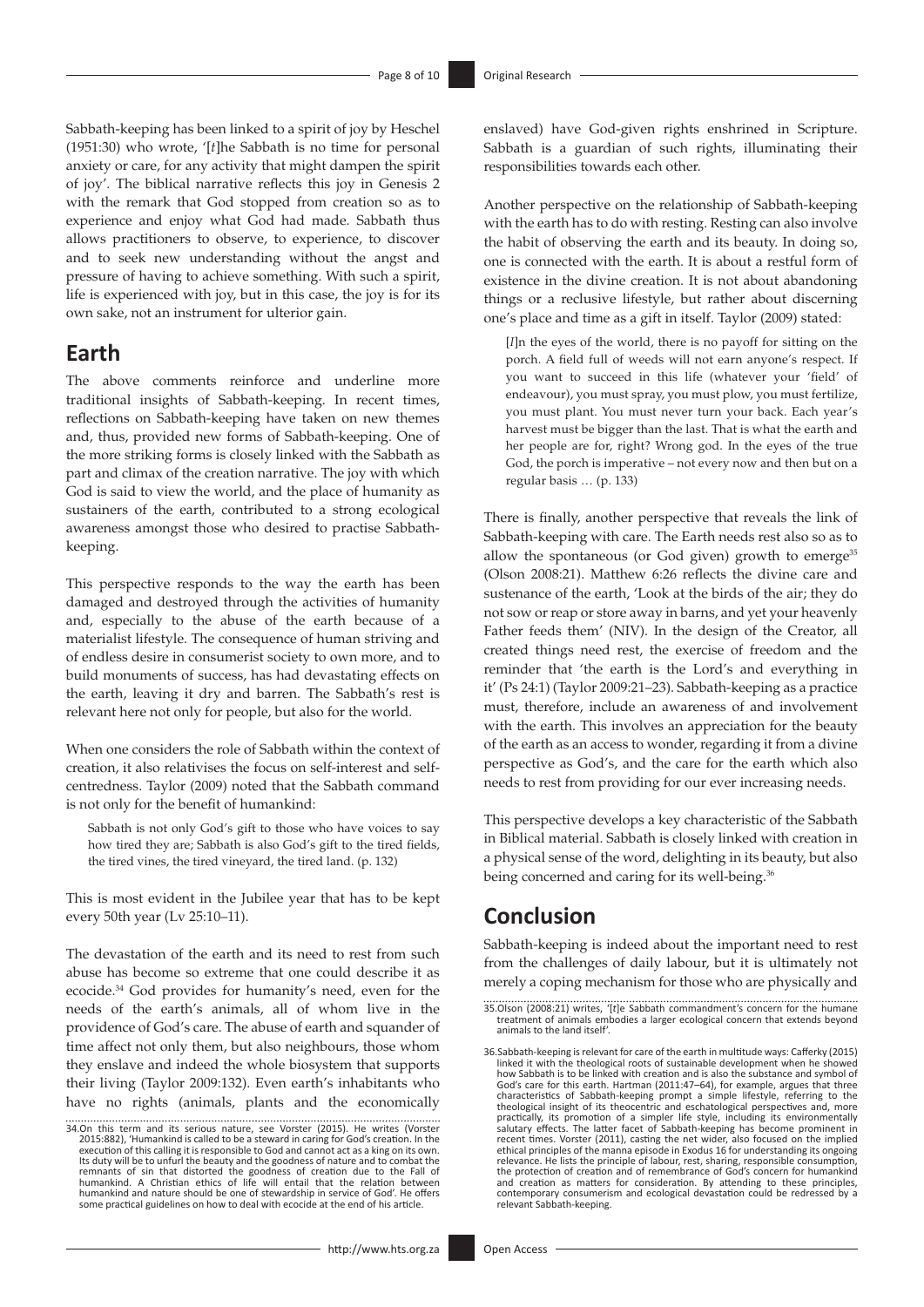Sabbath-keeping has been linked to a spirit of joy by Heschel (1951:30) who wrote, '[*t*]he Sabbath is no time for personal anxiety or care, for any activity that might dampen the spirit of joy'. The biblical narrative reflects this joy in Genesis 2 with the remark that God stopped from creation so as to experience and enjoy what God had made. Sabbath thus allows practitioners to observe, to experience, to discover and to seek new understanding without the angst and pressure of having to achieve something. With such a spirit, life is experienced with joy, but in this case, the joy is for its own sake, not an instrument for ulterior gain.

### **Earth**

The above comments reinforce and underline more traditional insights of Sabbath-keeping. In recent times, reflections on Sabbath-keeping have taken on new themes and, thus, provided new forms of Sabbath-keeping. One of the more striking forms is closely linked with the Sabbath as part and climax of the creation narrative. The joy with which God is said to view the world, and the place of humanity as sustainers of the earth, contributed to a strong ecological awareness amongst those who desired to practise Sabbathkeeping.

This perspective responds to the way the earth has been damaged and destroyed through the activities of humanity and, especially to the abuse of the earth because of a materialist lifestyle. The consequence of human striving and of endless desire in consumerist society to own more, and to build monuments of success, has had devastating effects on the earth, leaving it dry and barren. The Sabbath's rest is relevant here not only for people, but also for the world.

When one considers the role of Sabbath within the context of creation, it also relativises the focus on self-interest and selfcentredness. Taylor (2009) noted that the Sabbath command is not only for the benefit of humankind:

Sabbath is not only God's gift to those who have voices to say how tired they are; Sabbath is also God's gift to the tired fields, the tired vines, the tired vineyard, the tired land. (p. 132)

This is most evident in the Jubilee year that has to be kept every 50th year (Lv 25:10–11).

The devastation of the earth and its need to rest from such abuse has become so extreme that one could describe it as ecocide.34 God provides for humanity's need, even for the needs of the earth's animals, all of whom live in the providence of God's care. The abuse of earth and squander of time affect not only them, but also neighbours, those whom they enslave and indeed the whole biosystem that supports their living (Taylor 2009:132). Even earth's inhabitants who have no rights (animals, plants and the economically

enslaved) have God-given rights enshrined in Scripture. Sabbath is a guardian of such rights, illuminating their responsibilities towards each other.

Another perspective on the relationship of Sabbath-keeping with the earth has to do with resting. Resting can also involve the habit of observing the earth and its beauty. In doing so, one is connected with the earth. It is about a restful form of existence in the divine creation. It is not about abandoning things or a reclusive lifestyle, but rather about discerning one's place and time as a gift in itself. Taylor (2009) stated:

[*I*]n the eyes of the world, there is no payoff for sitting on the porch. A field full of weeds will not earn anyone's respect. If you want to succeed in this life (whatever your 'field' of endeavour), you must spray, you must plow, you must fertilize, you must plant. You must never turn your back. Each year's harvest must be bigger than the last. That is what the earth and her people are for, right? Wrong god. In the eyes of the true God, the porch is imperative – not every now and then but on a regular basis … (p. 133)

There is finally, another perspective that reveals the link of Sabbath-keeping with care. The Earth needs rest also so as to allow the spontaneous (or God given) growth to emerge $35$ (Olson 2008:21). Matthew 6:26 reflects the divine care and sustenance of the earth, 'Look at the birds of the air; they do not sow or reap or store away in barns, and yet your heavenly Father feeds them' (NIV). In the design of the Creator, all created things need rest, the exercise of freedom and the reminder that 'the earth is the Lord's and everything in it' (Ps 24:1) (Taylor 2009:21–23). Sabbath-keeping as a practice must, therefore, include an awareness of and involvement with the earth. This involves an appreciation for the beauty of the earth as an access to wonder, regarding it from a divine perspective as God's, and the care for the earth which also needs to rest from providing for our ever increasing needs.

This perspective develops a key characteristic of the Sabbath in Biblical material. Sabbath is closely linked with creation in a physical sense of the word, delighting in its beauty, but also being concerned and caring for its well-being.<sup>36</sup>

# **Conclusion**

Sabbath-keeping is indeed about the important need to rest from the challenges of daily labour, but it is ultimately not merely a coping mechanism for those who are physically and

<sup>34.</sup>On this term and its serious nature, see Vorster (2015). He writes (Vorster 2015:882), 'Humankind is called to be a steward in caring for God's creation. In the execution of this calling it is responsible to God and cannot act as a king on its own. Its duty will be to unfurl the beauty and the goodness of nature and to combat the<br>remnants of sin that distorted the goodness of creation due to the Fall of<br>humankind. A Christian ethics of life will entail that the relat humankind and nature should be one of stewardship in service of God'. He offers some practical guidelines on how to deal with ecocide at the end of his article.

<sup>35.</sup>Olson (2008:21) writes, '[*t*]e Sabbath commandment's concern for the humane treatment of animals embodies a larger ecological concern that extends beyond animals to the land itself'.

<sup>36.</sup>Sabbath-keeping is relevant for care of the earth in multitude ways: Cafferky (2015) linked it with the theological roots of sustainable development when he showed how Sabbath is to be linked with creation and is also the substance and symbol of God's care for this earth. Hartman (2011:47–64), for example, argues that three characteristics of Sabbath-keeping prompt a simple lifestyle, referring to the theological insight of its theocentric and eschatological perspectives and, more practically, its promotion of a simpler life style, including its environmentally<br>salutary effects. The latter facet of Sabbath-keeping has become prominent in<br>recent times. Vorster (2011), casting the net wider, also focu relevance. He lists the principle of labour, rest, sharing, responsible consumption,<br>the protection of creation and of remembrance of God's concern for humankind<br>and creation as matters for consideration. By attending to t contemporary consumerism and ecological devastation could be redressed by a relevant Sabbath-keeping.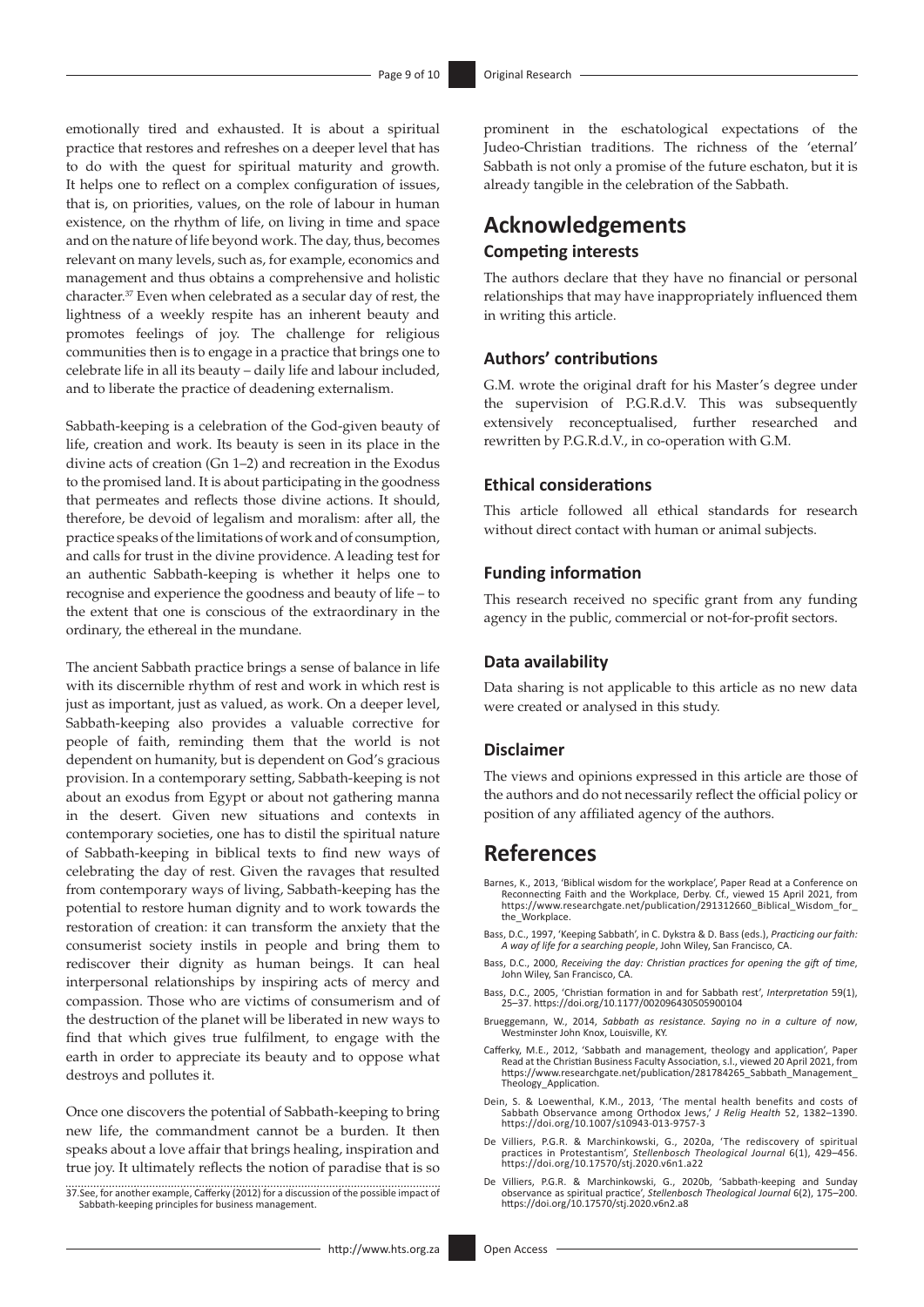emotionally tired and exhausted. It is about a spiritual practice that restores and refreshes on a deeper level that has to do with the quest for spiritual maturity and growth. It helps one to reflect on a complex configuration of issues, that is, on priorities, values, on the role of labour in human existence, on the rhythm of life, on living in time and space and on the nature of life beyond work. The day, thus, becomes relevant on many levels, such as, for example, economics and management and thus obtains a comprehensive and holistic character.37 Even when celebrated as a secular day of rest, the lightness of a weekly respite has an inherent beauty and promotes feelings of joy. The challenge for religious communities then is to engage in a practice that brings one to celebrate life in all its beauty – daily life and labour included, and to liberate the practice of deadening externalism.

Sabbath-keeping is a celebration of the God-given beauty of life, creation and work. Its beauty is seen in its place in the divine acts of creation (Gn 1–2) and recreation in the Exodus to the promised land. It is about participating in the goodness that permeates and reflects those divine actions. It should, therefore, be devoid of legalism and moralism: after all, the practice speaks of the limitations of work and of consumption, and calls for trust in the divine providence. A leading test for an authentic Sabbath-keeping is whether it helps one to recognise and experience the goodness and beauty of life – to the extent that one is conscious of the extraordinary in the ordinary, the ethereal in the mundane.

The ancient Sabbath practice brings a sense of balance in life with its discernible rhythm of rest and work in which rest is just as important, just as valued, as work. On a deeper level, Sabbath-keeping also provides a valuable corrective for people of faith, reminding them that the world is not dependent on humanity, but is dependent on God's gracious provision. In a contemporary setting, Sabbath-keeping is not about an exodus from Egypt or about not gathering manna in the desert. Given new situations and contexts in contemporary societies, one has to distil the spiritual nature of Sabbath-keeping in biblical texts to find new ways of celebrating the day of rest. Given the ravages that resulted from contemporary ways of living, Sabbath-keeping has the potential to restore human dignity and to work towards the restoration of creation: it can transform the anxiety that the consumerist society instils in people and bring them to rediscover their dignity as human beings. It can heal interpersonal relationships by inspiring acts of mercy and compassion. Those who are victims of consumerism and of the destruction of the planet will be liberated in new ways to find that which gives true fulfilment, to engage with the earth in order to appreciate its beauty and to oppose what destroys and pollutes it.

Once one discovers the potential of Sabbath-keeping to bring new life, the commandment cannot be a burden. It then speaks about a love affair that brings healing, inspiration and true joy. It ultimately reflects the notion of paradise that is so

37.See, for another example, Cafferky (2012) for a discussion of the possible impact of Sabbath-keeping principles for business management.

prominent in the eschatological expectations of the Judeo-Christian traditions. The richness of the 'eternal' Sabbath is not only a promise of the future eschaton, but it is already tangible in the celebration of the Sabbath.

### **Acknowledgements Competing interests**

The authors declare that they have no financial or personal relationships that may have inappropriately influenced them in writing this article.

### **Authors' contributions**

G.M. wrote the original draft for his Master's degree under the supervision of P.G.R.d.V. This was subsequently extensively reconceptualised, further researched and rewritten by P.G.R.d.V., in co-operation with G.M.

### **Ethical considerations**

This article followed all ethical standards for research without direct contact with human or animal subjects.

#### **Funding information**

This research received no specific grant from any funding agency in the public, commercial or not-for-profit sectors.

#### **Data availability**

Data sharing is not applicable to this article as no new data were created or analysed in this study.

#### **Disclaimer**

The views and opinions expressed in this article are those of the authors and do not necessarily reflect the official policy or position of any affiliated agency of the authors.

### **References**

- Barnes, K., 2013, 'Biblical wisdom for the workplace', Paper Read at a Conference on Reconnecting Faith and the Workplace, Derby. Cf., viewed 15 April 2021, from [https://www.researchgate.net/publication/291312660\\_Biblical\\_Wisdom\\_for\\_](https://www.researchgate.net/publication/291312660_Biblical_Wisdom_for_the_Workplace) the Workplace.
- Bass, D.C., 1997, 'Keeping Sabbath', in C. Dykstra & D. Bass (eds.), *Practicing our faith: A way of life for a searching people*, John Wiley, San Francisco, CA.
- Bass, D.C., 2000, *Receiving the day: Christian practices for opening the gift of time*, John Wiley, San Francisco, CA.
- Bass, D.C., 2005, 'Christian formation in and for Sabbath rest', *Interpretation* 59(1), 25–37.<https://doi.org/10.1177/002096430505900104>
- Brueggemann, W., 2014, *Sabbath as resistance. Saying no in a culture of now*, Westminster John Knox, Louisville, KY.
- Cafferky, M.E., 2012, 'Sabbath and management, theology and application', Paper Read at the Christian Business Faculty Association, s.l., viewed 20 April 2021, from [https://www.researchgate.net/publication/281784265\\_Sabbath\\_Management\\_](https://www.researchgate.net/publication/281784265_Sabbath_Management_Theology_Application) [Theology\\_Application.](https://www.researchgate.net/publication/281784265_Sabbath_Management_Theology_Application)
- Dein, S. & Loewenthal, K.M., 2013, 'The mental health benefits and costs of Sabbath Observance among Orthodox Jews,' *J Relig Health* 52, 1382–1390. <https://doi.org/10.1007/s10943-013-9757-3>
- De Villiers, P.G.R. & Marchinkowski, G., 2020a, 'The rediscovery of spiritual practices in Protestantism', *Stellenbosch Theological Journal* 6(1), 429–456. <https://doi.org/10.17570/stj.2020.v6n1.a22>
- De Villiers, P.G.R. & Marchinkowski, G., 2020b, 'Sabbath-keeping and Sunday observance as spiritual practice', *Stellenbosch Theological Journal* 6(2), 175–200. <https://doi.org/10.17570/stj.2020.v6n2.a8>